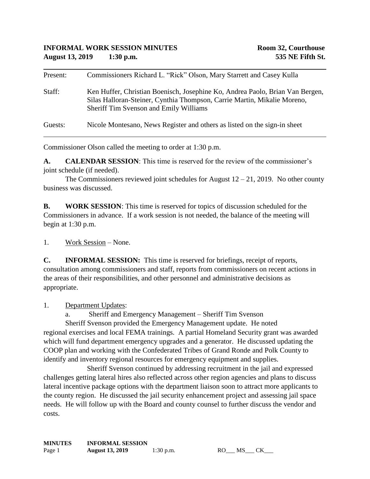| Present: | Commissioners Richard L. "Rick" Olson, Mary Starrett and Casey Kulla                                                                                                                                |
|----------|-----------------------------------------------------------------------------------------------------------------------------------------------------------------------------------------------------|
| Staff:   | Ken Huffer, Christian Boenisch, Josephine Ko, Andrea Paolo, Brian Van Bergen,<br>Silas Halloran-Steiner, Cynthia Thompson, Carrie Martin, Mikalie Moreno,<br>Sheriff Tim Svenson and Emily Williams |
| Guests:  | Nicole Montesano, News Register and others as listed on the sign-in sheet                                                                                                                           |

Commissioner Olson called the meeting to order at 1:30 p.m.

**A. CALENDAR SESSION**: This time is reserved for the review of the commissioner's joint schedule (if needed).

The Commissioners reviewed joint schedules for August  $12 - 21$ , 2019. No other county business was discussed.

**B. WORK SESSION**: This time is reserved for topics of discussion scheduled for the Commissioners in advance. If a work session is not needed, the balance of the meeting will begin at 1:30 p.m.

1. Work Session – None.

**C. INFORMAL SESSION:** This time is reserved for briefings, receipt of reports, consultation among commissioners and staff, reports from commissioners on recent actions in the areas of their responsibilities, and other personnel and administrative decisions as appropriate.

1. Department Updates:

a. Sheriff and Emergency Management – Sheriff Tim Svenson

Sheriff Svenson provided the Emergency Management update. He noted regional exercises and local FEMA trainings. A partial Homeland Security grant was awarded which will fund department emergency upgrades and a generator. He discussed updating the COOP plan and working with the Confederated Tribes of Grand Ronde and Polk County to identify and inventory regional resources for emergency equipment and supplies.

Sheriff Svenson continued by addressing recruitment in the jail and expressed challenges getting lateral hires also reflected across other region agencies and plans to discuss lateral incentive package options with the department liaison soon to attract more applicants to the county region. He discussed the jail security enhancement project and assessing jail space needs. He will follow up with the Board and county counsel to further discuss the vendor and costs.